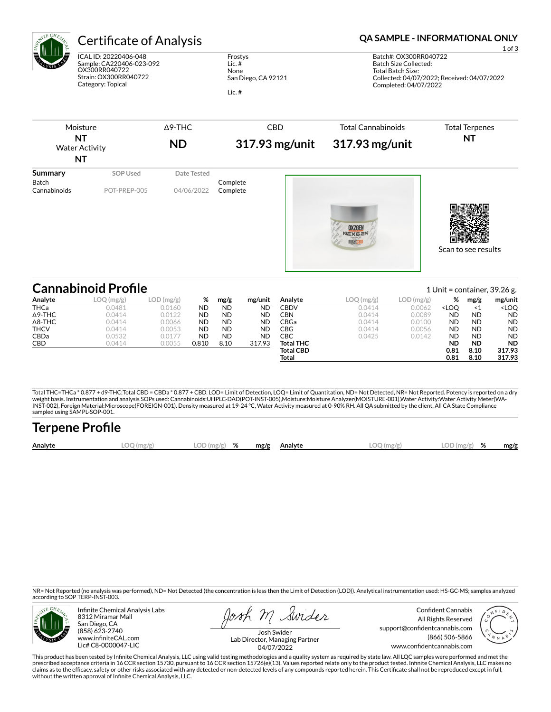

ICAL ID: 20220406-048 Sample: CA220406-023-092 OX300RR040722 Strain: OX300RR040722 Category: Topical

Frostys Lic. # None San Diego, CA 92121

Lic. #

### Certificate of Analysis **Certificate of Analysis QA SAMPLE - INFORMATIONAL ONLY**

1 of 3 Batch#: OX300RR040722 Batch Size Collected: Total Batch Size: Collected: 04/07/2022; Received: 04/07/2022 Completed: 04/07/2022

| Moisture<br><b>NT</b><br><b>Water Activity</b><br><b>NT</b> |                                 | $\Delta$ 9-THC<br><b>ND</b> | <b>CBD</b><br>317.93 mg/unit | <b>Total Cannabinoids</b><br>317.93 mg/unit | <b>Total Terpenes</b><br><b>NT</b> |
|-------------------------------------------------------------|---------------------------------|-----------------------------|------------------------------|---------------------------------------------|------------------------------------|
| Summary<br>Batch<br>Cannabinoids                            | <b>SOP Used</b><br>POT-PREP-005 | Date Tested<br>04/06/2022   | Complete<br>Complete         | <b>OXZGEN</b><br><b>NEXGEN</b>              | Scan to see results                |

|                | <b>Cannabinoid Profile</b> |           |           |           |           |                  |           |           |                                                                  |           | 1 Unit = container, $39.26$ g. |
|----------------|----------------------------|-----------|-----------|-----------|-----------|------------------|-----------|-----------|------------------------------------------------------------------|-----------|--------------------------------|
| Analyte        | LOO<br>) (mg/g)            | LOD(mg/g) | %         | mg/g      | mg/unit   | Analyte          | LOQ(mg/g) | LOD(mg/g) | %                                                                | mg/g      | mg/unit                        |
| <b>THCa</b>    | 0.0481                     | 0.0160    | <b>ND</b> | <b>ND</b> | ND        | CBDV             | 0.0414    | 0.0062    | <loo< td=""><td>- &lt; 1</td><td><loq< td=""></loq<></td></loo<> | - < 1     | <loq< td=""></loq<>            |
| $\Delta$ 9-THC | 0.0414                     | 0.0122    | <b>ND</b> | <b>ND</b> | <b>ND</b> | CBN.             | 0.0414    | 0.0089    | <b>ND</b>                                                        | <b>ND</b> | <b>ND</b>                      |
| $\Delta$ 8-THC | 0.0414                     | 0.0066    | <b>ND</b> | <b>ND</b> | <b>ND</b> | CBGa             | 0.0414    | 0.0100    | <b>ND</b>                                                        | <b>ND</b> | <b>ND</b>                      |
| <b>THCV</b>    | 0.0414                     | 0.0053    | <b>ND</b> | <b>ND</b> | <b>ND</b> | CBG              | 0.0414    | 0.0056    | <b>ND</b>                                                        | <b>ND</b> | <b>ND</b>                      |
| <b>CBDa</b>    | 0.0532                     | 0.0177    | <b>ND</b> | <b>ND</b> | ND        | CBC              | 0.0425    | 0.0142    | <b>ND</b>                                                        | <b>ND</b> | <b>ND</b>                      |
| CBD            | 0.0414                     | 0.0055    | 0.810     | 8.10      | 317.93    | <b>Total THC</b> |           |           | <b>ND</b>                                                        | <b>ND</b> | <b>ND</b>                      |
|                |                            |           |           |           |           | <b>Total CBD</b> |           |           | 0.81                                                             | 8.10      | 317.93                         |
|                |                            |           |           |           |           | Total            |           |           | 0.81                                                             | 8.10      | 317.93                         |

Total THC=THCa \* 0.877 + d9-THC;Total CBD = CBDa \* 0.877 + CBD. LOD= Limit of Detection, LOQ= Limit of Quantitation, ND= Not Detected, NR= Not Reported. Potency is reported on a dry<br>weight basis. Instrumentation and analys INST-002), Foreign Material:Microscope(FOREIGN-001). Density measured at 19-24 °C, Water Activity measured at 0-90% RH. All QA submitted by the client, All CA State Compliance sampled using SAMPL-SOP-001.

| <b>Terpene Profile</b> |            |                  |  |              |              |               |      |
|------------------------|------------|------------------|--|--------------|--------------|---------------|------|
| Analyte                | LOO (mg/gʻ | $LOD$ (mg/g) $%$ |  | mg/g Analyte | $LOO$ (mg/g) | $LOD(mg/g)$ % | mg/g |

NR= Not Reported (no analysis was performed), ND= Not Detected (the concentration is less then the Limit of Detection (LOD)). Analytical instrumentation used: HS-GC-MS; samples analyzed according to SOP TERP-INST-003.



Infinite Chemical Analysis Labs 8312 Miramar Mall San Diego, CA (858) 623-2740 www.infiniteCAL.com Lic# C8-0000047-LIC

Josh M Swider

Confident Cannabis All Rights Reserved support@confidentcannabis.com (866) 506-5866 www.confidentcannabis.com



Josh Swider Lab Director, Managing Partner 04/07/2022

This product has been tested by Infinite Chemical Analysis, LLC using valid testing methodologies and a quality system as required by state law. All LQC samples were performed and met the prescribed acceptance criteria in 16 CCR section 15730, pursuant to 16 CCR section 15726(e)(13). Values reported relate only to the product tested. Infinite Chemical Analysis, LLC makes no<br>claims as to the efficacy, safety without the written approval of Infinite Chemical Analysis, LLC.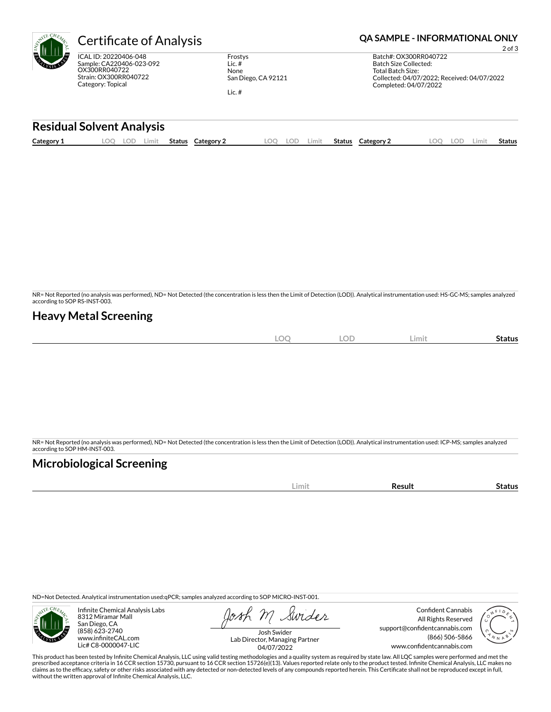| $CH_{E_A}$ | ert                           |
|------------|-------------------------------|
|            | ICAL ID:<br>Sample:<br>OX300R |

20220406-048 CA220406-023-092 R040722 Strain: OX300RR040722 Category: Topical

Frostys Lic. # None San Diego, CA 92121

Lic. #

## CHRIFICATE OF Analysis **CALL Analysis CALL Analysis CALL Analysis QA SAMPLE - INFORMATIONAL ONLY**

2 of 3 Batch#: OX300RR040722 Batch Size Collected: Total Batch Size: Collected: 04/07/2022; Received: 04/07/2022 Completed: 04/07/2022

#### **Residual Solvent Analysis**

| Category 1 | .OC | LOD.<br>Limit | Status | Category | $\Omega$ | LOD | .imit | Status | Category 2 | .OO | LOD | ∟imi | Status |
|------------|-----|---------------|--------|----------|----------|-----|-------|--------|------------|-----|-----|------|--------|
|            |     |               |        |          |          |     |       |        |            |     |     |      |        |

NR= Not Reported (no analysis was performed), ND= Not Detected (the concentration is less then the Limit of Detection (LOD)). Analytical instrumentation used: HS-GC-MS; samples analyzed according to SOP RS-INST-003.

### **Heavy Metal Screening**

| nn<br>∵ ا ا اسا…<br>$\sim$ | <b>LOD</b> | Limit | -<br>Status |
|----------------------------|------------|-------|-------------|
|                            |            |       |             |

NR= Not Reported (no analysis was performed), ND= Not Detected (the concentration is less then the Limit of Detection (LOD)). Analytical instrumentation used: ICP-MS; samples analyzed according to SOP HM-INST-003.

### **Microbiological Screening**

| . | ш. |
|---|----|
|   |    |

ND=Not Detected. Analytical instrumentation used:qPCR; samples analyzed according to SOP MICRO-INST-001.



Infinite Chemical Analysis Labs 8312 Miramar Mall San Diego, CA (858) 623-2740 www.infiniteCAL.com Lic# C8-0000047-LIC

Swider

Confident Cannabis All Rights Reserved support@confidentcannabis.com (866) 506-5866 www.confidentcannabis.com



Josh Swider Lab Director, Managing Partner 04/07/2022

This product has been tested by Infinite Chemical Analysis, LLC using valid testing methodologies and a quality system as required by state law. All LQC samples were performed and met the prescribed acceptance criteria in 16 CCR section 15730, pursuant to 16 CCR section 15726(e)(13). Values reported relate only to the product tested. Infinite Chemical Analysis, LLC makes no<br>claims as to the efficacy, safety without the written approval of Infinite Chemical Analysis, LLC.